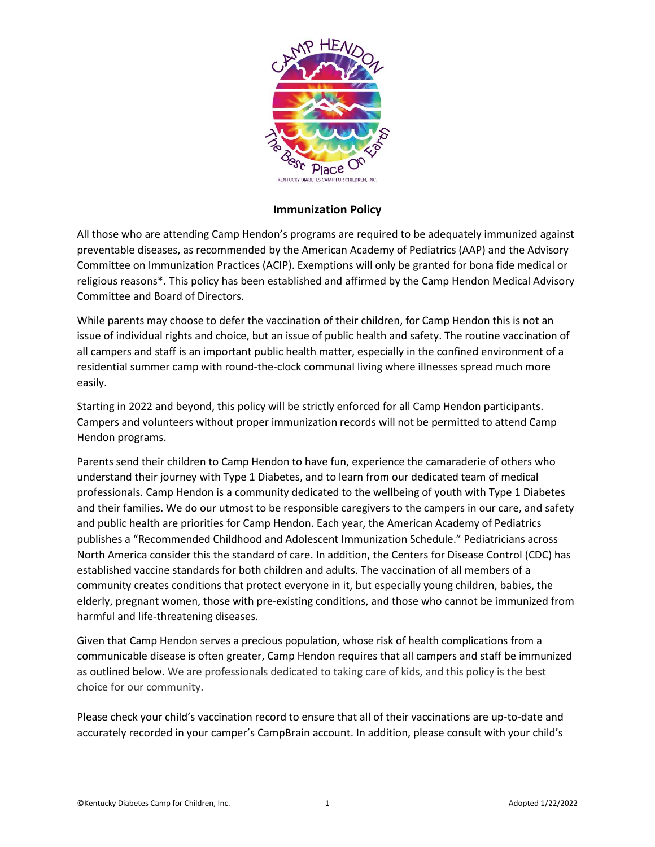

## **Immunization Policy**

All those who are attending Camp Hendon's programs are required to be adequately immunized against preventable diseases, as recommended by the American Academy of Pediatrics (AAP) and the Advisory Committee on Immunization Practices (ACIP). Exemptions will only be granted for bona fide medical or religious reasons\*. This policy has been established and affirmed by the Camp Hendon Medical Advisory Committee and Board of Directors.

While parents may choose to defer the vaccination of their children, for Camp Hendon this is not an issue of individual rights and choice, but an issue of public health and safety. The routine vaccination of all campers and staff is an important public health matter, especially in the confined environment of a residential summer camp with round-the-clock communal living where illnesses spread much more easily.

Starting in 2022 and beyond, this policy will be strictly enforced for all Camp Hendon participants. Campers and volunteers without proper immunization records will not be permitted to attend Camp Hendon programs.

Parents send their children to Camp Hendon to have fun, experience the camaraderie of others who understand their journey with Type 1 Diabetes, and to learn from our dedicated team of medical professionals. Camp Hendon is a community dedicated to the wellbeing of youth with Type 1 Diabetes and their families. We do our utmost to be responsible caregivers to the campers in our care, and safety and public health are priorities for Camp Hendon. Each year, the American Academy of Pediatrics publishes a "Recommended Childhood and Adolescent Immunization Schedule." Pediatricians across North America consider this the standard of care. In addition, the Centers for Disease Control (CDC) has established vaccine standards for both children and adults. The vaccination of all members of a community creates conditions that protect everyone in it, but especially young children, babies, the elderly, pregnant women, those with pre-existing conditions, and those who cannot be immunized from harmful and life-threatening diseases.

Given that Camp Hendon serves a precious population, whose risk of health complications from a communicable disease is often greater, Camp Hendon requires that all campers and staff be immunized as outlined below. We are professionals dedicated to taking care of kids, and this policy is the best choice for our community.

Please check your child's vaccination record to ensure that all of their vaccinations are up-to-date and accurately recorded in your camper's CampBrain account. In addition, please consult with your child's